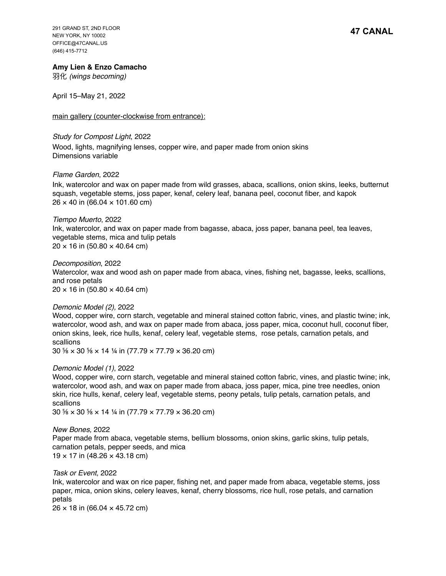291 GRAND ST, 2ND FLOOR NEW YORK, NY 10002 OFFICE@47CANAL.US (646) 415-7712

#### **Amy Lien & Enzo Camacho**

⽻化 *(wings becoming)*

April 15–May 21, 2022

main gallery (counter-clockwise from entrance):

## *Study for Compost Light*, 2022 Wood, lights, magnifying lenses, copper wire, and paper made from onion skins

Dimensions variable

## *Flame Garden*, 2022

Ink, watercolor and wax on paper made from wild grasses, abaca, scallions, onion skins, leeks, butternut squash, vegetable stems, joss paper, kenaf, celery leaf, banana peel, coconut fiber, and kapok  $26 \times 40$  in (66.04  $\times$  101.60 cm)

#### *Tiempo Muerto*, 2022

Ink, watercolor, and wax on paper made from bagasse, abaca, joss paper, banana peel, tea leaves, vegetable stems, mica and tulip petals  $20 \times 16$  in (50.80  $\times$  40.64 cm)

*Decomposition*, 2022 Watercolor, wax and wood ash on paper made from abaca, vines, fishing net, bagasse, leeks, scallions, and rose petals  $20 \times 16$  in (50.80  $\times$  40.64 cm)

## *Demonic Model (2),* 2022

Wood, copper wire, corn starch, vegetable and mineral stained cotton fabric, vines, and plastic twine; ink, watercolor, wood ash, and wax on paper made from abaca, joss paper, mica, coconut hull, coconut fiber, onion skins, leek, rice hulls, kenaf, celery leaf, vegetable stems, rose petals, carnation petals, and scallions

30 ⅝ × 30 ⅝ × 14 ¼ in (77.79 × 77.79 × 36.20 cm)

## *Demonic Model (1)*, 2022

Wood, copper wire, corn starch, vegetable and mineral stained cotton fabric, vines, and plastic twine; ink, watercolor, wood ash, and wax on paper made from abaca, joss paper, mica, pine tree needles, onion skin, rice hulls, kenaf, celery leaf, vegetable stems, peony petals, tulip petals, carnation petals, and scallions

30 ⅝ × 30 ⅝ × 14 ¼ in (77.79 × 77.79 × 36.20 cm)

*New Bones,* 2022 Paper made from abaca, vegetable stems, bellium blossoms, onion skins, garlic skins, tulip petals, carnation petals, pepper seeds, and mica 19 × 17 in (48.26 × 43.18 cm)

#### *Task or Event*, 2022

Ink, watercolor and wax on rice paper, fishing net, and paper made from abaca, vegetable stems, joss paper, mica, onion skins, celery leaves, kenaf, cherry blossoms, rice hull, rose petals, and carnation petals

 $26 \times 18$  in (66.04  $\times$  45.72 cm)